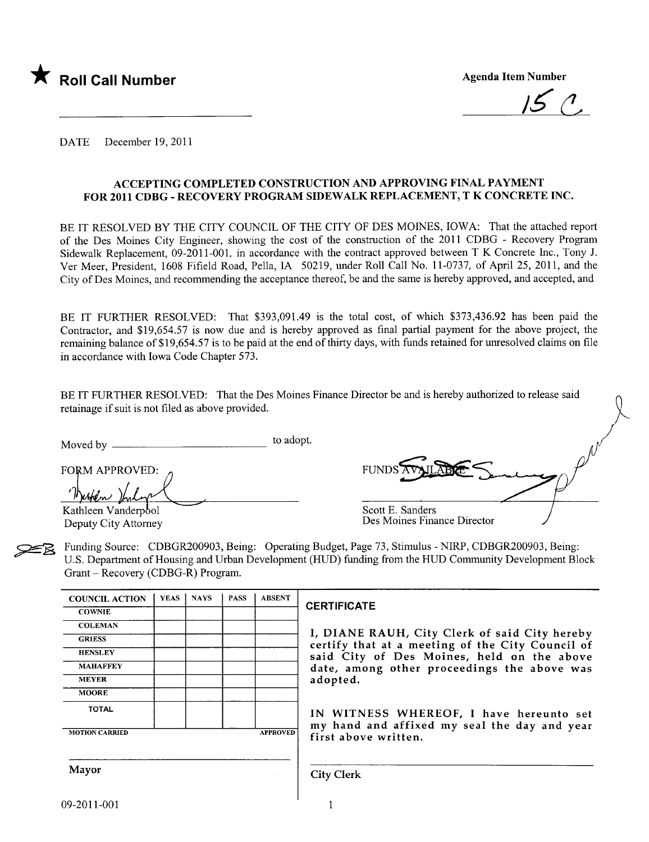

 $150$ 

DATE December 19,2011

#### ACCEPTING COMPLETED CONSTRUCTION AND APPROVING FINAL PAYMENT FOR 2011 CDBG - RECOVERY PROGRAM SIDEWALK REPLACEMENT, T K CONCRETE INC.

BE IT RESOLVED BY THE CITY COUNCIL OF THE CITY OF DES MOINES, IOWA: That the attached report of the Des Moines City Engineer, showing the cost of the construction of the 2011 CDBG - Recovery Program Sidewalk Replacement, 09-2011-001, in accordance with the contract approved between T K Concrete Inc., Tony J. Ver Meer, President, 1608 Fifield Road, Pella, IA 50219, under Roll Call No. 11-0737, of April 25, 2011, and the City of Des Moines, and recommending the acceptance thereof, be and the same is hereby approved, and accepted, and

BE IT FURTHER RESOLVED: That \$393,091.49 is the total cost, of which \$373,436.92 has been paid the Contractor, and \$19,654.57 is now due and is hereby approved as final partial payment for the above project, the remaining balance of \$19,654.57 is to be paid at the end of thirty days, with funds retained for unresolved claims on fie in accordance with Iowa Code Chapter 573.

BE IT FURTHER RESOLVED: That the Des Moines Finance Director be and is hereby authorized to release said retainage if suit is not fied as above provided.

Moved by to adopt.

FORM APPROVED: (CHITTING CO.)

Deputy City Attorney

| FUNDS AV                    |  |
|-----------------------------|--|
| Scott E. Sanders<br>ית דו ח |  |

Des Moines Finance Director

~ Funding Source: CDBGR200903, Being: Operating Budget, Page 73, Stimulus - NIRP, CDBGR200903, Being: U.S. Department of Housing and Urban Development (HUD) funding from the HUD Community Development Block Grant - Recovery (CDBG-R) Program.

| <b>COUNCIL ACTION</b> | YEAS <sup>1</sup> | <b>NAYS</b> | <b>PASS</b> | <b>ABSENT</b>   |
|-----------------------|-------------------|-------------|-------------|-----------------|
| <b>COWNIE</b>         |                   |             |             |                 |
| <b>COLEMAN</b>        |                   |             |             |                 |
| <b>GRIESS</b>         |                   |             |             |                 |
| <b>HENSLEY</b>        |                   |             |             |                 |
| <b>MAHAFFEY</b>       |                   |             |             |                 |
| <b>MEYER</b>          |                   |             |             |                 |
| <b>MOORE</b>          |                   |             |             |                 |
| <b>TOTAL</b>          |                   |             |             |                 |
| <b>MOTION CARRIED</b> |                   |             |             | <b>APPROVED</b> |

#### **CERTIFICATE**

I, DIANE RAUH, City Clerk of said City hereby certify that at a meeting of the City Council of said City of Des Moines, held on the above date, among other proceedings the above was adopted.

IN WITNESS WHEREOF, I have hereunto set my hand and affixed my seal the day and year first above written.

Mayor Given the City Clerk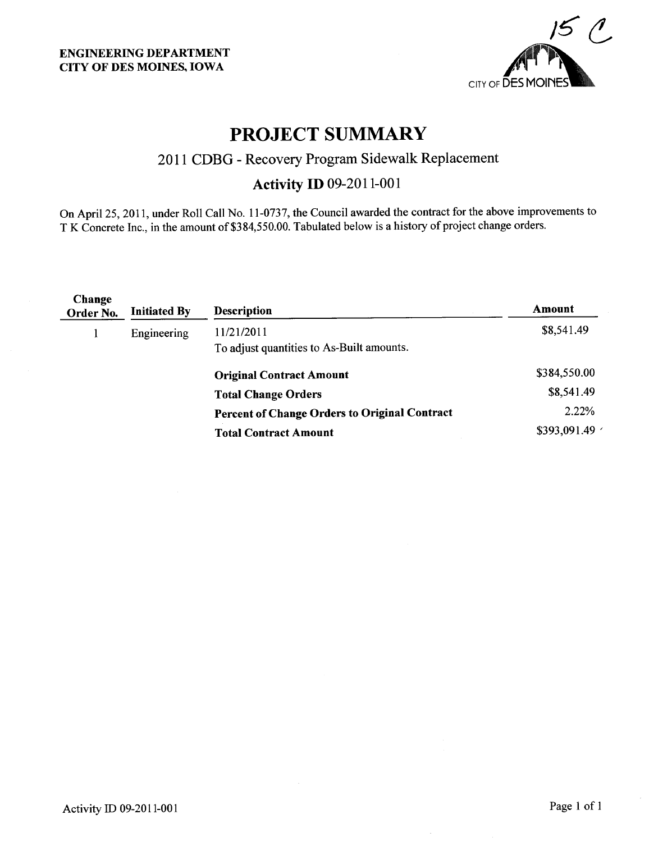

## PROJECT SUMMARY

## 2011 CDBG - Recovery Program Sidewalk Replacement

## Activity ID 09-2011-001

On April 25,2011, under Roll Call No. 11-0737, the Council awarded the contract for the above improvements to T K Concrete Inc., in the amount of \$384,550.00. Tabulated below is a history of project change orders.

| Change<br>Order No. | <b>Initiated By</b> | <b>Description</b>                                   | Amount       |
|---------------------|---------------------|------------------------------------------------------|--------------|
|                     | Engineering         | 11/21/2011                                           | \$8,541.49   |
|                     |                     | To adjust quantities to As-Built amounts.            |              |
|                     |                     | <b>Original Contract Amount</b>                      | \$384,550.00 |
|                     |                     | <b>Total Change Orders</b>                           | \$8,541.49   |
|                     |                     | <b>Percent of Change Orders to Original Contract</b> | 2.22%        |
|                     |                     | <b>Total Contract Amount</b>                         | \$393,091.49 |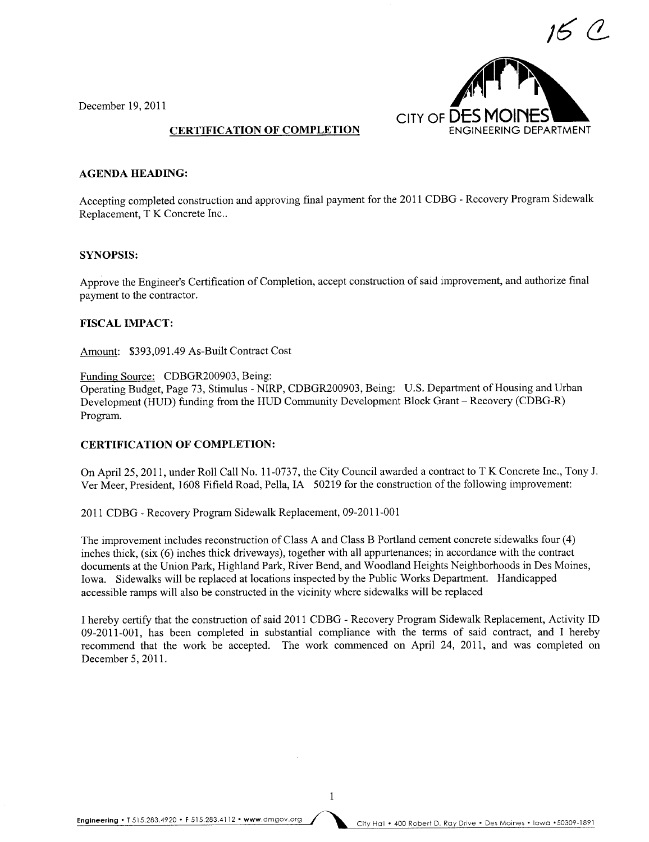

December 19, 2011

#### CERTIFICATION OF COMPLETION

#### AGENDA HEADING:

Accepting completed construction and approving final payment for the 2011 CDBG - Recovery Program Sidewalk Replacement, T K Concrete Inc..

#### SYNOPSIS:

Approve the Engineer's Certification of Completion, accept construction of said improvement, and authorize final payment to the contractor.

#### FISCAL IMPACT:

Amount: \$393,091.49 As-Built Contract Cost

Funding Source: CDBGR200903, Being: Operating Budget, Page 73, Stimulus - NIRP, CDBGR200903, Being: U.S. Department of Housing and Urban Development (HUD) funding from the HUD Community Development Block Grant - Recovery (CDBG-R) Program.

#### CERTIFICATION OF COMPLETION:

On April 25, 2011, under Roll Call No. 11-0737, the City Council awarded a contract to T K Concrete Inc., Tony J. Ver Meer, President, 1608 Fifield Road, Pella, IA 50219 for the construction of the following improvement:

2011 CDBG - Recovery Program Sidewalk Replacement, 09-2011-001

The improvement includes reconstruction of Class A and Class B Portland cement concrete sidewalks four (4) inches thick, (six (6) inches thick driveways), together with all appurtenances; in accordance with the contract documents at the Union Park, Highland Park, River Bend, and Woodland Heights Neighborhoods in Des Moines, Iowa. Sidewalks wil be replaced at locations inspected by the Public Works Department. Handicapped accessible ramps will also be constructed in the vicinity where sidewalks will be replaced

I hereby certify that the construction of said 2011 CDBG - Recovery Program Sidewalk Replacement, Activity ID 09-2011-001, has been completed in substantial compliance with the terms of said contract, and I hereby recommend that the work be accepted. The work commenced on April 24, 2011, and was completed on December 5, 2011.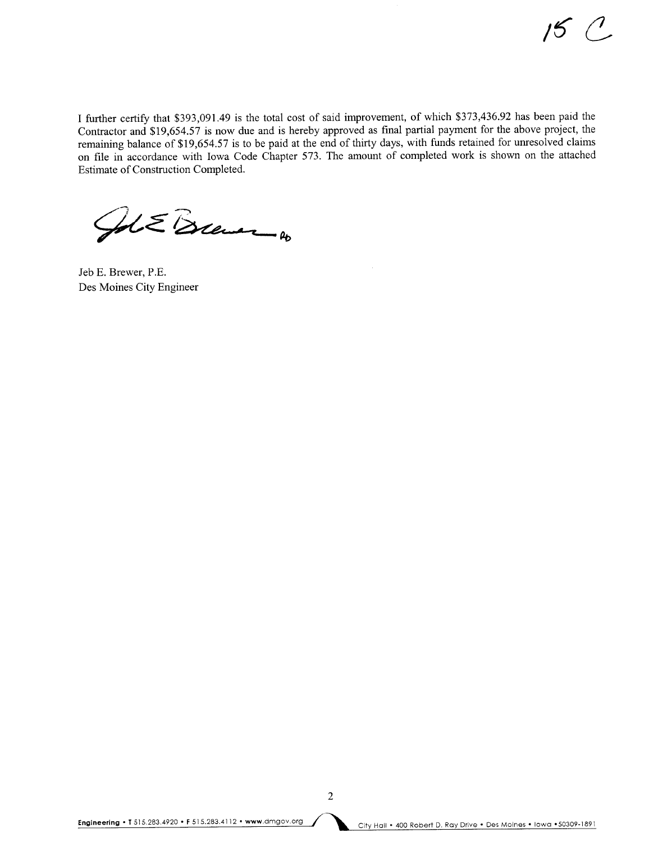$15 C$ 

I further certify that \$393,091.49 is the total cost of said improvement, of which \$373,436.92 has been paid the Contractor and \$19,654.57 is now due and is hereby approved as final parial payment for the above project, the remaining balance of \$19,654.57 is to be paid at the end of thirty days, with funds retained for unresolved claims on fie in accordance with Iowa Code Chapter 573. The amount of completed work is shown on the attached Estimate of Construction Completed.

ALE Brewer 4

Jeb E. Brewer, P.E. Des Moines City Engineer